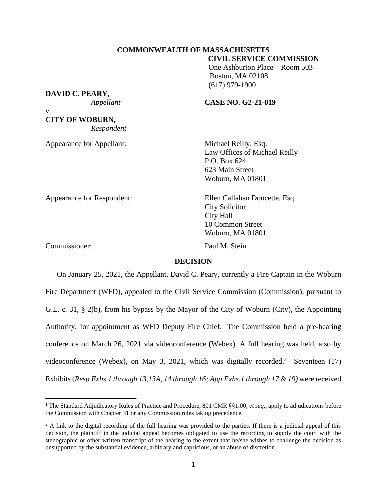### **COMMONWEALTH OF MASSACHUSETTS CIVIL SERVICE COMMISSION**

 One Ashburton Place – Room 503 Boston, MA 02108 (617) 979-1900

# **DAVID C. PEARY,**

## *Appellant* **CASE NO. G2-21-019**

v. **CITY OF WOBURN,** *Respondent*

Appearance for Appellant: Michael Reilly, Esq.

Law Offices of Michael Reilly P.O. Box 624 623 Main Street Woburn, MA 01801

Appearance for Respondent: Ellen Callahan Doucette, Esq.

City Solicitor City Hall 10 Common Street Woburn, MA 01801

Commissioner: Paul M. Stein

## **DECISION**

On January 25, 2021, the Appellant, David C. Peary, currently a Fire Captain in the Woburn Fire Department (WFD), appealed to the Civil Service Commission (Commission), pursuant to G.L. c. 31, § 2(b), from his bypass by the Mayor of the City of Woburn (City), the Appointing Authority, for appointment as WFD Deputy Fire Chief.<sup>1</sup> The Commission held a pre-hearing conference on March 26, 2021 via videoconference (Webex). A full hearing was held, also by videoconference (Webex), on May 3, 2021, which was digitally recorded.<sup>2</sup> Seventeen (17) Exhibits (*Resp.Exhs.1 through 13,13A, 14 through 16; App.Exhs.1 through 17 & 19)* were received

<sup>1</sup> The Standard Adjudicatory Rules of Practice and Procedure, 801 CMR §§1.00, *et seq*., apply to adjudications before the Commission with Chapter 31 or any Commission rules taking precedence.

<sup>&</sup>lt;sup>2</sup> A link to the digital recording of the full hearing was provided to the parties. If there is a judicial appeal of this decision, the plaintiff in the judicial appeal becomes obligated to use the recording to supply the court with the stenographic or other written transcript of the hearing to the extent that he/she wishes to challenge the decision as unsupported by the substantial evidence, arbitrary and capricious, or an abuse of discretion.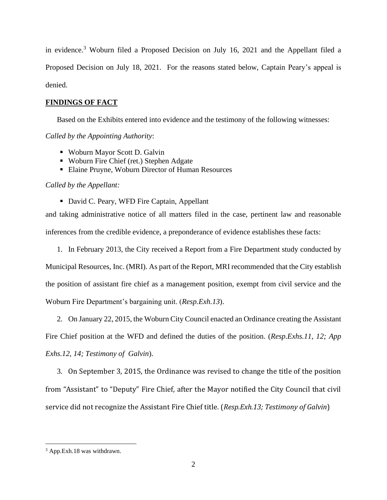in evidence.<sup>3</sup> Woburn filed a Proposed Decision on July 16, 2021 and the Appellant filed a Proposed Decision on July 18, 2021. For the reasons stated below, Captain Peary's appeal is denied.

# **FINDINGS OF FACT**

Based on the Exhibits entered into evidence and the testimony of the following witnesses:

*Called by the Appointing Authority*:

- Woburn Mayor Scott D. Galvin
- Woburn Fire Chief (ret.) Stephen Adgate
- Elaine Pruyne, Woburn Director of Human Resources

# *Called by the Appellant:*

■ David C. Peary, WFD Fire Captain, Appellant

and taking administrative notice of all matters filed in the case, pertinent law and reasonable inferences from the credible evidence, a preponderance of evidence establishes these facts:

1. In February 2013, the City received a Report from a Fire Department study conducted by Municipal Resources, Inc. (MRI). As part of the Report, MRI recommended that the City establish the position of assistant fire chief as a management position, exempt from civil service and the Woburn Fire Department's bargaining unit. (*Resp.Exh.13*).

2. On January 22, 2015, the Woburn City Council enacted an Ordinance creating the Assistant Fire Chief position at the WFD and defined the duties of the position. (*Resp.Exhs.11, 12; App Exhs.12, 14; Testimony of Galvin*).

3. On September 3, 2015, the Ordinance was revised to change the title of the position from "Assistant" to "Deputy" Fire Chief, after the Mayor notified the City Council that civil service did not recognize the Assistant Fire Chief title. (*Resp.Exh.13; Testimony of Galvin*)

<sup>3</sup> App.Exh.18 was withdrawn.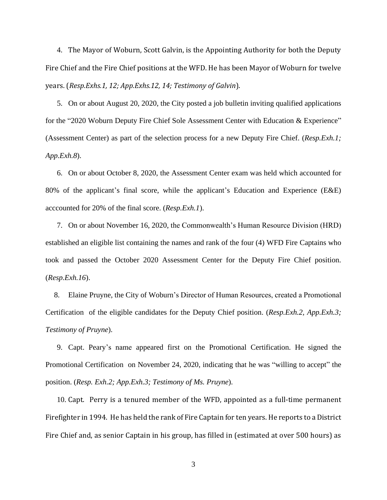4. The Mayor of Woburn, Scott Galvin, is the Appointing Authority for both the Deputy Fire Chief and the Fire Chief positions at the WFD. He has been Mayor of Woburn for twelve years. (*Resp.Exhs.1, 12; App.Exhs.12, 14; Testimony of Galvin*).

5. On or about August 20, 2020, the City posted a job bulletin inviting qualified applications for the "2020 Woburn Deputy Fire Chief Sole Assessment Center with Education & Experience" (Assessment Center) as part of the selection process for a new Deputy Fire Chief. (*Resp.Exh.1; App.Exh.8*).

6. On or about October 8, 2020, the Assessment Center exam was held which accounted for 80% of the applicant's final score, while the applicant's Education and Experience (E&E) acccounted for 20% of the final score. (*Resp.Exh.1*).

7. On or about November 16, 2020, the Commonwealth's Human Resource Division (HRD) established an eligible list containing the names and rank of the four (4) WFD Fire Captains who took and passed the October 2020 Assessment Center for the Deputy Fire Chief position. (*Resp.Exh.16*).

8. Elaine Pruyne, the City of Woburn's Director of Human Resources, created a Promotional Certification of the eligible candidates for the Deputy Chief position. (*Resp.Exh.2, App.Exh.3; Testimony of Pruyne*).

9. Capt. Peary's name appeared first on the Promotional Certification. He signed the Promotional Certification on November 24, 2020, indicating that he was "willing to accept" the position. (*Resp. Exh.2; App.Exh.3; Testimony of Ms. Pruyne*).

10. Capt. Perry is a tenured member of the WFD, appointed as a full-time permanent Firefighter in 1994. He has held the rank of Fire Captain for ten years. He reports to a District Fire Chief and, as senior Captain in his group, has filled in (estimated at over 500 hours) as

3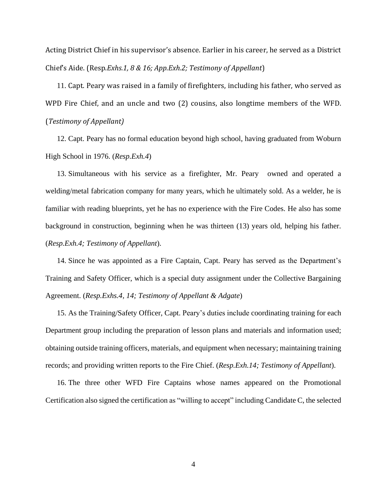Acting District Chief in his supervisor's absence. Earlier in his career, he served as a District Chief's Aide. (Resp.*Exhs.1, 8 & 16; App.Exh.2; Testimony of Appellant*)

11. Capt. Peary was raised in a family of firefighters, including his father, who served as WPD Fire Chief, and an uncle and two (2) cousins, also longtime members of the WFD. (*Testimony of Appellant)*

12. Capt. Peary has no formal education beyond high school, having graduated from Woburn High School in 1976. (*Resp.Exh.4*)

13. Simultaneous with his service as a firefighter, Mr. Peary owned and operated a welding/metal fabrication company for many years, which he ultimately sold. As a welder, he is familiar with reading blueprints, yet he has no experience with the Fire Codes. He also has some background in construction, beginning when he was thirteen (13) years old, helping his father. (*Resp.Exh.4; Testimony of Appellant*).

14. Since he was appointed as a Fire Captain, Capt. Peary has served as the Department's Training and Safety Officer, which is a special duty assignment under the Collective Bargaining Agreement. (*Resp.Exhs.4, 14; Testimony of Appellant & Adgate*)

15. As the Training/Safety Officer, Capt. Peary's duties include coordinating training for each Department group including the preparation of lesson plans and materials and information used; obtaining outside training officers, materials, and equipment when necessary; maintaining training records; and providing written reports to the Fire Chief. (*Resp.Exh.14; Testimony of Appellant*).

16. The three other WFD Fire Captains whose names appeared on the Promotional Certification also signed the certification as "willing to accept" including Candidate C, the selected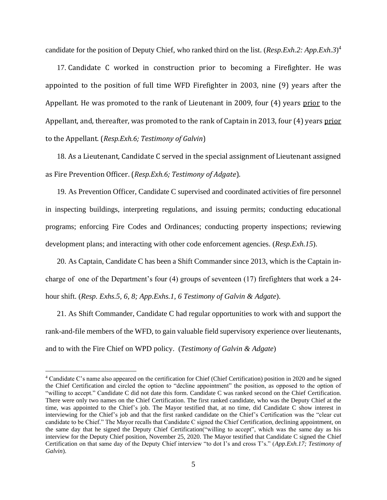candidate for the position of Deputy Chief, who ranked third on the list. (*Resp.Exh.2: App.Exh.3*) 4

17. Candidate C worked in construction prior to becoming a Firefighter. He was appointed to the position of full time WFD Firefighter in 2003, nine (9) years after the Appellant. He was promoted to the rank of Lieutenant in 2009, four (4) years prior to the Appellant, and, thereafter, was promoted to the rank of Captain in 2013, four (4) years prior to the Appellant. (*Resp.Exh.6; Testimony of Galvin*)

18. As a Lieutenant, Candidate C served in the special assignment of Lieutenant assigned as Fire Prevention Officer. (*Resp.Exh.6; Testimony of Adgate*).

19. As Prevention Officer, Candidate C supervised and coordinated activities of fire personnel in inspecting buildings, interpreting regulations, and issuing permits; conducting educational programs; enforcing Fire Codes and Ordinances; conducting property inspections; reviewing development plans; and interacting with other code enforcement agencies. (*Resp.Exh.15*).

20. As Captain, Candidate C has been a Shift Commander since 2013, which is the Captain incharge of one of the Department's four (4) groups of seventeen (17) firefighters that work a 24 hour shift. (*Resp. Exhs.5, 6, 8; App.Exhs.1, 6 Testimony of Galvin & Adgate*).

21. As Shift Commander, Candidate C had regular opportunities to work with and support the rank-and-file members of the WFD, to gain valuable field supervisory experience over lieutenants, and to with the Fire Chief on WPD policy. (*Testimony of Galvin & Adgate*)

<sup>4</sup> Candidate C's name also appeared on the certification for Chief (Chief Certification) position in 2020 and he signed the Chief Certification and circled the option to "decline appointment" the position, as opposed to the option of "willing to accept." Candidate C did not date this form. Candidate C was ranked second on the Chief Certification. There were only two names on the Chief Certification. The first ranked candidate, who was the Deputy Chief at the time, was appointed to the Chief's job. The Mayor testified that, at no time, did Candidate C show interest in interviewing for the Chief's job and that the first ranked candidate on the Chief's Certification was the "clear cut candidate to be Chief." The Mayor recalls that Candidate C signed the Chief Certification, declining appointment, on the same day that he signed the Deputy Chief Certification("willing to accept", which was the same day as his interview for the Deputy Chief position, November 25, 2020. The Mayor testified that Candidate C signed the Chief Certification on that same day of the Deputy Chief interview "to dot I's and cross T's." (*App.Exh.17; Testimony of Galvin*).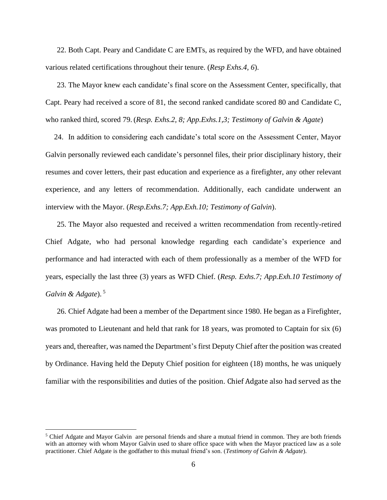22. Both Capt. Peary and Candidate C are EMTs, as required by the WFD, and have obtained various related certifications throughout their tenure. (*Resp Exhs.4, 6*).

23. The Mayor knew each candidate's final score on the Assessment Center, specifically, that Capt. Peary had received a score of 81, the second ranked candidate scored 80 and Candidate C, who ranked third, scored 79. (*Resp. Exhs.2, 8; App.Exhs.1,3; Testimony of Galvin & Agate*)

24. In addition to considering each candidate's total score on the Assessment Center, Mayor Galvin personally reviewed each candidate's personnel files, their prior disciplinary history, their resumes and cover letters, their past education and experience as a firefighter, any other relevant experience, and any letters of recommendation. Additionally, each candidate underwent an interview with the Mayor. (*Resp.Exhs.7; App.Exh.10; Testimony of Galvin*).

25. The Mayor also requested and received a written recommendation from recently-retired Chief Adgate, who had personal knowledge regarding each candidate's experience and performance and had interacted with each of them professionally as a member of the WFD for years, especially the last three (3) years as WFD Chief. (*Resp. Exhs.7; App.Exh.10 Testimony of Galvin & Adgate*). 5

26. Chief Adgate had been a member of the Department since 1980. He began as a Firefighter, was promoted to Lieutenant and held that rank for 18 years, was promoted to Captain for six (6) years and, thereafter, was named the Department's first Deputy Chief after the position was created by Ordinance. Having held the Deputy Chief position for eighteen (18) months, he was uniquely familiar with the responsibilities and duties of the position. Chief Adgate also had served as the

<sup>&</sup>lt;sup>5</sup> Chief Adgate and Mayor Galvin are personal friends and share a mutual friend in common. They are both friends with an attorney with whom Mayor Galvin used to share office space with when the Mayor practiced law as a sole practitioner. Chief Adgate is the godfather to this mutual friend's son. (*Testimony of Galvin & Adgate*).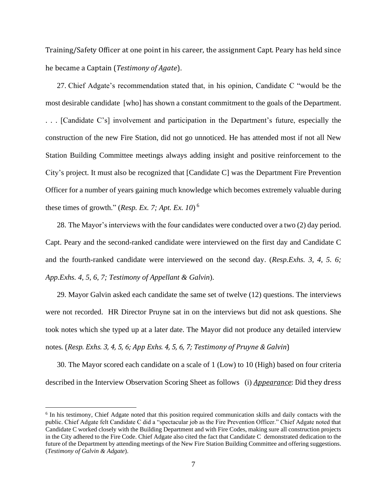Training/Safety Officer at one point in his career, the assignment Capt. Peary has held since he became a Captain (*Testimony of Agate*).

27. Chief Adgate's recommendation stated that, in his opinion, Candidate C "would be the most desirable candidate [who] has shown a constant commitment to the goals of the Department. . . . [Candidate C's] involvement and participation in the Department's future, especially the construction of the new Fire Station, did not go unnoticed. He has attended most if not all New Station Building Committee meetings always adding insight and positive reinforcement to the City's project. It must also be recognized that [Candidate C] was the Department Fire Prevention Officer for a number of years gaining much knowledge which becomes extremely valuable during these times of growth." (*Resp. Ex. 7; Apt. Ex. 10*) 6

28. The Mayor's interviews with the four candidates were conducted over a two (2) day period. Capt. Peary and the second-ranked candidate were interviewed on the first day and Candidate C and the fourth-ranked candidate were interviewed on the second day. (*Resp.Exhs. 3, 4, 5. 6; App.Exhs. 4, 5, 6, 7; Testimony of Appellant & Galvin*).

29. Mayor Galvin asked each candidate the same set of twelve (12) questions. The interviews were not recorded. HR Director Pruyne sat in on the interviews but did not ask questions. She took notes which she typed up at a later date. The Mayor did not produce any detailed interview notes. (*Resp. Exhs. 3, 4, 5, 6; App Exhs. 4, 5, 6, 7; Testimony of Pruyne & Galvin*)

30. The Mayor scored each candidate on a scale of 1 (Low) to 10 (High) based on four criteria described in the Interview Observation Scoring Sheet as follows (i) *Appearance*: Did they dress

<sup>&</sup>lt;sup>6</sup> In his testimony, Chief Adgate noted that this position required communication skills and daily contacts with the public. Chief Adgate felt Candidate C did a "spectacular job as the Fire Prevention Officer." Chief Adgate noted that Candidate C worked closely with the Building Department and with Fire Codes, making sure all construction projects in the City adhered to the Fire Code. Chief Adgate also cited the fact that Candidate C demonstrated dedication to the future of the Department by attending meetings of the New Fire Station Building Committee and offering suggestions. (*Testimony of Galvin & Adgate*).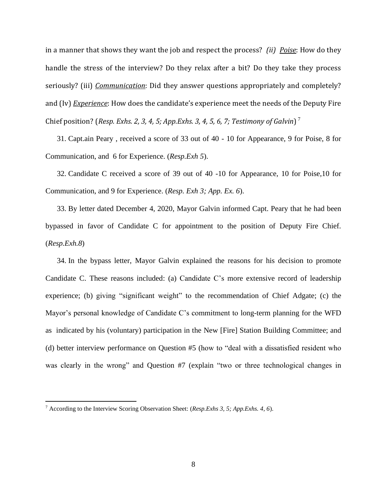in a manner that shows they want the job and respect the process? *(ii) Poise*: How do they handle the stress of the interview? Do they relax after a bit? Do they take they process seriously? (iii) *Communication*: Did they answer questions appropriately and completely? and (Iv) *Experience*: How does the candidate's experience meet the needs of the Deputy Fire Chief position? (*Resp. Exhs. 2, 3, 4, 5; App.Exhs. 3, 4, 5, 6, 7; Testimony of Galvin*) 7

31. Capt.ain Peary , received a score of 33 out of 40 - 10 for Appearance, 9 for Poise, 8 for Communication, and 6 for Experience. (*Resp.Exh 5*).

32. Candidate C received a score of 39 out of 40 -10 for Appearance, 10 for Poise,10 for Communication, and 9 for Experience. (*Resp. Exh 3; App. Ex. 6*).

33. By letter dated December 4, 2020, Mayor Galvin informed Capt. Peary that he had been bypassed in favor of Candidate C for appointment to the position of Deputy Fire Chief. (*Resp.Exh.8*)

34. In the bypass letter, Mayor Galvin explained the reasons for his decision to promote Candidate C. These reasons included: (a) Candidate C's more extensive record of leadership experience; (b) giving "significant weight" to the recommendation of Chief Adgate; (c) the Mayor's personal knowledge of Candidate C's commitment to long-term planning for the WFD as indicated by his (voluntary) participation in the New [Fire] Station Building Committee; and (d) better interview performance on Question #5 (how to "deal with a dissatisfied resident who was clearly in the wrong" and Question #7 (explain "two or three technological changes in

<sup>7</sup> According to the Interview Scoring Observation Sheet: (*Resp.Exhs 3, 5; App.Exhs. 4, 6*).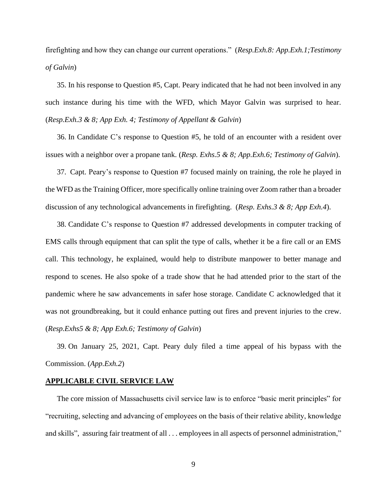firefighting and how they can change our current operations." (*Resp.Exh.8: App.Exh.1;Testimony of Galvin*)

35. In his response to Question #5, Capt. Peary indicated that he had not been involved in any such instance during his time with the WFD, which Mayor Galvin was surprised to hear. (*Resp.Exh.3 & 8; App Exh. 4; Testimony of Appellant & Galvin*)

36. In Candidate C's response to Question #5, he told of an encounter with a resident over issues with a neighbor over a propane tank. (*Resp. Exhs.5 & 8; App.Exh.6; Testimony of Galvin*).

37. Capt. Peary's response to Question #7 focused mainly on training, the role he played in the WFD as the Training Officer, more specifically online training over Zoom rather than a broader discussion of any technological advancements in firefighting. (*Resp. Exhs.3 & 8; App Exh.4*).

38. Candidate C's response to Question #7 addressed developments in computer tracking of EMS calls through equipment that can split the type of calls, whether it be a fire call or an EMS call. This technology, he explained, would help to distribute manpower to better manage and respond to scenes. He also spoke of a trade show that he had attended prior to the start of the pandemic where he saw advancements in safer hose storage. Candidate C acknowledged that it was not groundbreaking, but it could enhance putting out fires and prevent injuries to the crew. (*Resp.Exhs5 & 8; App Exh.6; Testimony of Galvin*)

39. On January 25, 2021, Capt. Peary duly filed a time appeal of his bypass with the Commission. (*App.Exh.2*)

#### **APPLICABLE CIVIL SERVICE LAW**

The core mission of Massachusetts civil service law is to enforce "basic merit principles" for "recruiting, selecting and advancing of employees on the basis of their relative ability, knowledge and skills", assuring fair treatment of all . . . employees in all aspects of personnel administration,"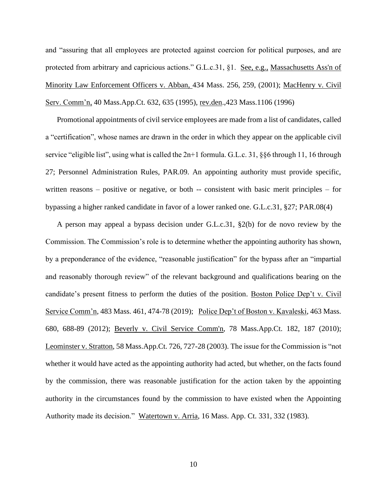and "assuring that all employees are protected against coercion for political purposes, and are protected from arbitrary and capricious actions." G.L.c.31, §1. See, e.g., [Massachusetts Ass'n of](http://web2.westlaw.com/find/default.wl?mt=Massachusetts&db=578&rs=WLW15.04&tc=-1&rp=%2ffind%2fdefault.wl&findtype=Y&ordoc=2029136022&serialnum=2001441097&vr=2.0&fn=_top&sv=Split&tf=-1&pbc=70F732C1&utid=1)  [Minority Law Enforcement Officers v. Abban,](http://web2.westlaw.com/find/default.wl?mt=Massachusetts&db=578&rs=WLW15.04&tc=-1&rp=%2ffind%2fdefault.wl&findtype=Y&ordoc=2029136022&serialnum=2001441097&vr=2.0&fn=_top&sv=Split&tf=-1&pbc=70F732C1&utid=1) 434 Mass. 256, 259, (2001); MacHenry v. Civil Serv. Comm'n, 40 Mass.App.Ct. 632, 635 (1995), rev.den.,423 Mass.1106 (1996)

Promotional appointments of civil service employees are made from a list of candidates, called a "certification", whose names are drawn in the order in which they appear on the applicable civil service "eligible list", using what is called the 2n+1 formula. G.L.c. 31, §§6 through 11, 16 through 27; Personnel Administration Rules, PAR.09. An appointing authority must provide specific, written reasons – positive or negative, or both -- consistent with basic merit principles – for bypassing a higher ranked candidate in favor of a lower ranked one. G.L.c.31, §27; PAR.08(4)

A person may appeal a bypass decision under G.L.c.31, §2(b) for de novo review by the Commission. The Commission's role is to determine whether the appointing authority has shown, by a preponderance of the evidence, "reasonable justification" for the bypass after an "impartial and reasonably thorough review" of the relevant background and qualifications bearing on the candidate's present fitness to perform the duties of the position. Boston Police Dep't v. Civil Service Comm'n, 483 Mass. 461, 474-78 (2019); Police Dep't of Boston v. Kavaleski, 463 Mass. 680, 688-89 (2012); [Beverly v. Civil Service Comm'n, 78 Mass.App.Ct. 182, 187 \(2010\);](http://web2.westlaw.com/find/default.wl?mt=Massachusetts&db=578&rs=WLW15.04&tc=-1&rp=%2ffind%2fdefault.wl&findtype=Y&ordoc=2029136022&serialnum=2023501172&vr=2.0&fn=_top&sv=Split&tf=-1&pbc=70F732C1&utid=1) Leominster v. Stratton, 58 Mass.App.Ct. 726, 727-28 (2003). The issue for the Commission is "not whether it would have acted as the appointing authority had acted, but whether, on the facts found by the commission, there was reasonable justification for the action taken by the appointing authority in the circumstances found by the commission to have existed when the Appointing Authority made its decision." Watertown v. Arria, 16 Mass. App. Ct. 331, 332 (1983).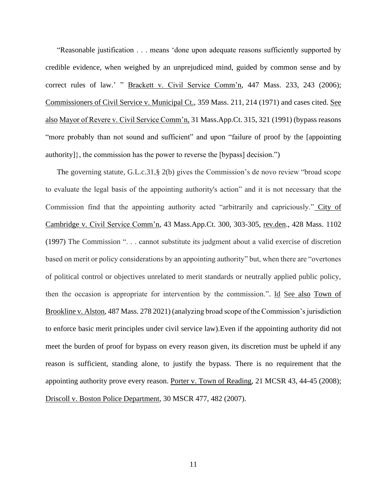"Reasonable justification . . . means 'done upon adequate reasons sufficiently supported by credible evidence, when weighed by an unprejudiced mind, guided by common sense and by correct rules of law.' " Brackett v. Civil Service Comm'n, 447 Mass. 233, 243 (2006); Commissioners of Civil Service v. Municipal Ct., 359 Mass. 211, 214 (1971) and cases cited. See also Mayor of Revere v. Civil Service Comm'n, 31 Mass.App.Ct. 315, 321 (1991) (bypass reasons "more probably than not sound and sufficient" and upon "failure of proof by the [appointing authority]}, the commission has the power to reverse the [bypass] decision.")

The governing statute, G.L.c.31,§ 2(b) gives the Commission's de novo review "broad scope to evaluate the legal basis of the appointing authority's action" and it is not necessary that the Commission find that the appointing authority acted "arbitrarily and capriciously." City of Cambridge v. Civil Service Comm'n, 43 Mass.App.Ct. 300, 303-305, rev.den., 428 Mass. 1102 (1997) The Commission ". . . cannot substitute its judgment about a valid exercise of discretion based on merit or policy considerations by an appointing authority" but, when there are "overtones of political control or objectives unrelated to merit standards or neutrally applied public policy, then the occasion is appropriate for intervention by the commission.". Id See also Town of Brookline v. Alston, 487 Mass. 278 2021) (analyzing broad scope of the Commission's jurisdiction to enforce basic merit principles under civil service law).Even if the appointing authority did not meet the burden of proof for bypass on every reason given, its discretion must be upheld if any reason is sufficient, standing alone, to justify the bypass. There is no requirement that the appointing authority prove every reason. Porter v. Town of Reading, 21 MCSR 43, 44-45 (2008); Driscoll v. Boston Police Department, 30 MSCR 477, 482 (2007).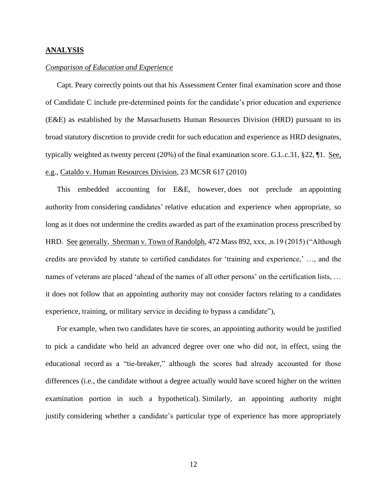### **ANALYSIS**

### *Comparison of Education and Experience*

Capt. Peary correctly points out that his Assessment Center final examination score and those of Candidate C include pre-determined points for the candidate's prior education and experience (E&E) as established by the Massachusetts Human Resources Division (HRD) pursuant to its broad statutory discretion to provide credit for such education and experience as HRD designates, typically weighted as twenty percent (20%) of the final examination score. G.L.c.31, §22, ¶1. See, e.g., Cataldo v. Human Resources Division, 23 MCSR 617 (2010)

This embedded accounting for E&E, however, does not preclude an appointing authority from considering candidates' relative education and experience when appropriate, so long as it does not undermine the credits awarded as part of the examination process prescribed by HRD. See generally, Sherman v. Town of Randolph, 472 Mass 892, xxx, ,n.19 (2015) ("Although credits are provided by statute to certified candidates for 'training and experience,' …, and the names of veterans are placed 'ahead of the names of all other persons' on the certification lists, … it does not follow that an appointing authority may not consider factors relating to a candidates experience, training, or military service in deciding to bypass a candidate"),

For example, when two candidates have tie scores, an appointing authority would be justified to pick a candidate who held an advanced degree over one who did not, in effect, using the educational record as a "tie-breaker," although the scores had already accounted for those differences (i.e., the candidate without a degree actually would have scored higher on the written examination portion in such a hypothetical). Similarly, an appointing authority might justify considering whether a candidate's particular type of experience has more appropriately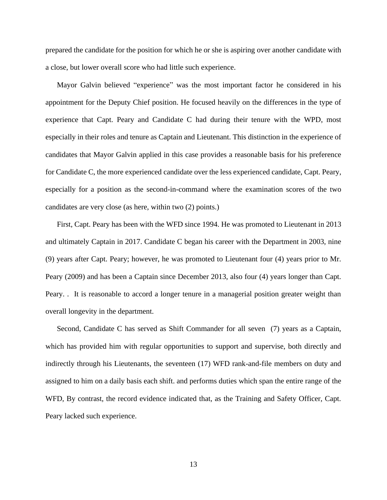prepared the candidate for the position for which he or she is aspiring over another candidate with a close, but lower overall score who had little such experience.

Mayor Galvin believed "experience" was the most important factor he considered in his appointment for the Deputy Chief position. He focused heavily on the differences in the type of experience that Capt. Peary and Candidate C had during their tenure with the WPD, most especially in their roles and tenure as Captain and Lieutenant. This distinction in the experience of candidates that Mayor Galvin applied in this case provides a reasonable basis for his preference for Candidate C, the more experienced candidate over the less experienced candidate, Capt. Peary, especially for a position as the second-in-command where the examination scores of the two candidates are very close (as here, within two (2) points.)

First, Capt. Peary has been with the WFD since 1994. He was promoted to Lieutenant in 2013 and ultimately Captain in 2017. Candidate C began his career with the Department in 2003, nine (9) years after Capt. Peary; however, he was promoted to Lieutenant four (4) years prior to Mr. Peary (2009) and has been a Captain since December 2013, also four (4) years longer than Capt. Peary. . It is reasonable to accord a longer tenure in a managerial position greater weight than overall longevity in the department.

Second, Candidate C has served as Shift Commander for all seven (7) years as a Captain, which has provided him with regular opportunities to support and supervise, both directly and indirectly through his Lieutenants, the seventeen (17) WFD rank-and-file members on duty and assigned to him on a daily basis each shift. and performs duties which span the entire range of the WFD, By contrast, the record evidence indicated that, as the Training and Safety Officer, Capt. Peary lacked such experience.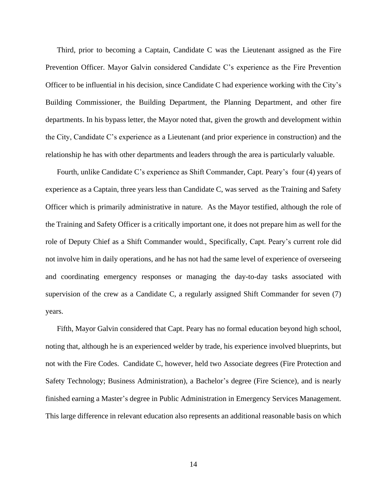Third, prior to becoming a Captain, Candidate C was the Lieutenant assigned as the Fire Prevention Officer. Mayor Galvin considered Candidate C's experience as the Fire Prevention Officer to be influential in his decision, since Candidate C had experience working with the City's Building Commissioner, the Building Department, the Planning Department, and other fire departments. In his bypass letter, the Mayor noted that, given the growth and development within the City, Candidate C's experience as a Lieutenant (and prior experience in construction) and the relationship he has with other departments and leaders through the area is particularly valuable.

Fourth, unlike Candidate C's experience as Shift Commander, Capt. Peary's four (4) years of experience as a Captain, three years less than Candidate C, was served as the Training and Safety Officer which is primarily administrative in nature. As the Mayor testified, although the role of the Training and Safety Officer is a critically important one, it does not prepare him as well for the role of Deputy Chief as a Shift Commander would., Specifically, Capt. Peary's current role did not involve him in daily operations, and he has not had the same level of experience of overseeing and coordinating emergency responses or managing the day-to-day tasks associated with supervision of the crew as a Candidate C, a regularly assigned Shift Commander for seven (7) years.

Fifth, Mayor Galvin considered that Capt. Peary has no formal education beyond high school, noting that, although he is an experienced welder by trade, his experience involved blueprints, but not with the Fire Codes. Candidate C, however, held two Associate degrees (Fire Protection and Safety Technology; Business Administration), a Bachelor's degree (Fire Science), and is nearly finished earning a Master's degree in Public Administration in Emergency Services Management. This large difference in relevant education also represents an additional reasonable basis on which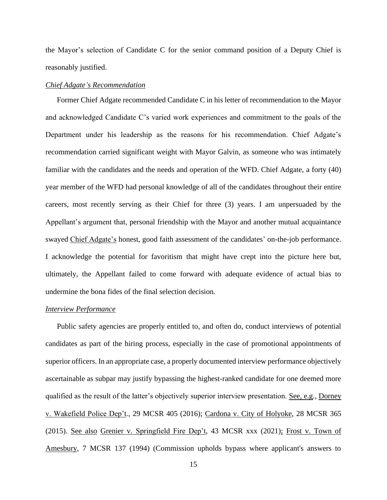the Mayor's selection of Candidate C for the senior command position of a Deputy Chief is reasonably justified.

### *Chief Adgate's Recommendation*

Former Chief Adgate recommended Candidate C in his letter of recommendation to the Mayor and acknowledged Candidate C's varied work experiences and commitment to the goals of the Department under his leadership as the reasons for his recommendation. Chief Adgate's recommendation carried significant weight with Mayor Galvin, as someone who was intimately familiar with the candidates and the needs and operation of the WFD. Chief Adgate, a forty (40) year member of the WFD had personal knowledge of all of the candidates throughout their entire careers, most recently serving as their Chief for three (3) years. I am unpersuaded by the Appellant's argument that, personal friendship with the Mayor and another mutual acquaintance swayed Chief Adgate's honest, good faith assessment of the candidates' on-the-job performance. I acknowledge the potential for favoritism that might have crept into the picture here but, ultimately, the Appellant failed to come forward with adequate evidence of actual bias to undermine the bona fides of the final selection decision.

## *Interview Performance*

Public safety agencies are properly entitled to, and often do, conduct interviews of potential candidates as part of the hiring process, especially in the case of promotional appointments of superior officers. In an appropriate case, a properly documented interview performance objectively ascertainable as subpar may justify bypassing the highest-ranked candidate for one deemed more qualified as the result of the latter's objectively superior interview presentation. See, e.g., Dorney v. Wakefield Police Dep't., 29 MCSR 405 (2016); Cardona v. City of Holyoke, 28 MCSR 365 (2015). See also Grenier v. Springfield Fire Dep't, 43 MCSR xxx (2021); Frost v. Town of Amesbury, 7 MCSR 137 (1994) (Commission upholds bypass where applicant's answers to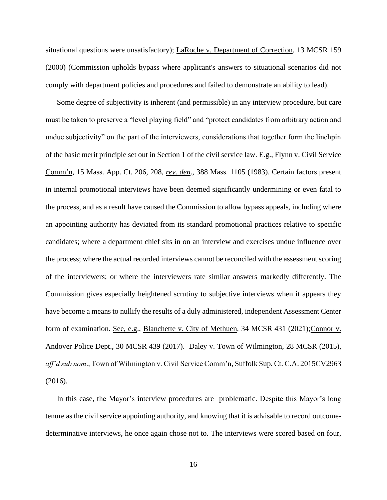situational questions were unsatisfactory); LaRoche v. Department of Correction, 13 MCSR 159 (2000) (Commission upholds bypass where applicant's answers to situational scenarios did not comply with department policies and procedures and failed to demonstrate an ability to lead).

Some degree of subjectivity is inherent (and permissible) in any interview procedure, but care must be taken to preserve a "level playing field" and "protect candidates from arbitrary action and undue subjectivity" on the part of the interviewers, considerations that together form the linchpin of the basic merit principle set out in Section 1 of the civil service law. E.g., Flynn v. Civil Service Comm'n, 15 Mass. App. Ct. 206, 208, *rev. den*., 388 Mass. 1105 (1983). Certain factors present in internal promotional interviews have been deemed significantly undermining or even fatal to the process, and as a result have caused the Commission to allow bypass appeals, including where an appointing authority has deviated from its standard promotional practices relative to specific candidates; where a department chief sits in on an interview and exercises undue influence over the process; where the actual recorded interviews cannot be reconciled with the assessment scoring of the interviewers; or where the interviewers rate similar answers markedly differently. The Commission gives especially heightened scrutiny to subjective interviews when it appears they have become a means to nullify the results of a duly administered, independent Assessment Center form of examination. See, e.g., Blanchette v. City of Methuen, 34 MCSR 431 (2021); Connor v. Andover Police Dept., 30 MCSR 439 (2017). Daley v. Town of Wilmington, 28 MCSR (2015), *aff'd sub nom*., Town of Wilmington v. Civil Service Comm'n, Suffolk Sup. Ct. C.A. 2015CV2963 (2016).

In this case, the Mayor's interview procedures are problematic. Despite this Mayor's long tenure as the civil service appointing authority, and knowing that it is advisable to record outcomedeterminative interviews, he once again chose not to. The interviews were scored based on four,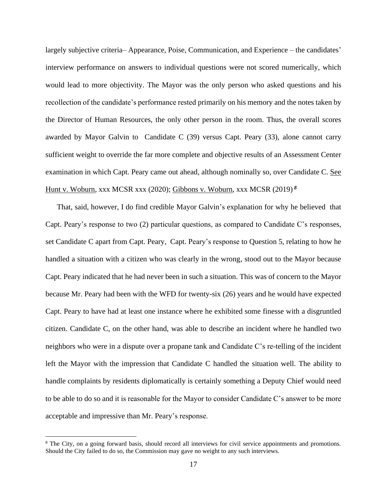largely subjective criteria– Appearance, Poise, Communication, and Experience – the candidates' interview performance on answers to individual questions were not scored numerically, which would lead to more objectivity. The Mayor was the only person who asked questions and his recollection of the candidate's performance rested primarily on his memory and the notes taken by the Director of Human Resources, the only other person in the room. Thus, the overall scores awarded by Mayor Galvin to Candidate C (39) versus Capt. Peary (33), alone cannot carry sufficient weight to override the far more complete and objective results of an Assessment Center examination in which Capt. Peary came out ahead, although nominally so, over Candidate C. See Hunt v. Woburn, xxx MCSR xxx (2020); Gibbons v. Woburn, xxx MCSR (2019) *<sup>8</sup>*

That, said, however, I do find credible Mayor Galvin's explanation for why he believed that Capt. Peary's response to two (2) particular questions, as compared to Candidate C's responses, set Candidate C apart from Capt. Peary, Capt. Peary's response to Question 5, relating to how he handled a situation with a citizen who was clearly in the wrong, stood out to the Mayor because Capt. Peary indicated that he had never been in such a situation. This was of concern to the Mayor because Mr. Peary had been with the WFD for twenty-six (26) years and he would have expected Capt. Peary to have had at least one instance where he exhibited some finesse with a disgruntled citizen. Candidate C, on the other hand, was able to describe an incident where he handled two neighbors who were in a dispute over a propane tank and Candidate C's re-telling of the incident left the Mayor with the impression that Candidate C handled the situation well. The ability to handle complaints by residents diplomatically is certainly something a Deputy Chief would need to be able to do so and it is reasonable for the Mayor to consider Candidate C's answer to be more acceptable and impressive than Mr. Peary's response.

<sup>&</sup>lt;sup>8</sup> The City, on a going forward basis, should record all interviews for civil service appointments and promotions. Should the City failed to do so, the Commission may gave no weight to any such interviews.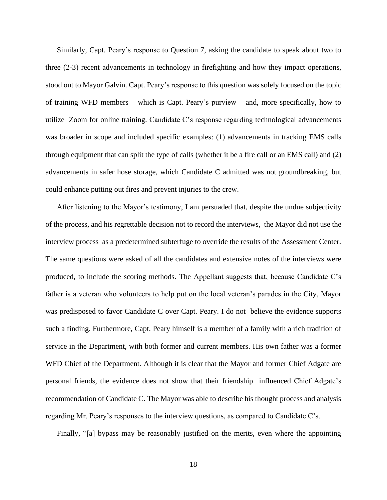Similarly, Capt. Peary's response to Question 7, asking the candidate to speak about two to three (2-3) recent advancements in technology in firefighting and how they impact operations, stood out to Mayor Galvin. Capt. Peary's response to this question was solely focused on the topic of training WFD members – which is Capt. Peary's purview – and, more specifically, how to utilize Zoom for online training. Candidate C's response regarding technological advancements was broader in scope and included specific examples: (1) advancements in tracking EMS calls through equipment that can split the type of calls (whether it be a fire call or an EMS call) and (2) advancements in safer hose storage, which Candidate C admitted was not groundbreaking, but could enhance putting out fires and prevent injuries to the crew.

After listening to the Mayor's testimony, I am persuaded that, despite the undue subjectivity of the process, and his regrettable decision not to record the interviews, the Mayor did not use the interview process as a predetermined subterfuge to override the results of the Assessment Center. The same questions were asked of all the candidates and extensive notes of the interviews were produced, to include the scoring methods. The Appellant suggests that, because Candidate C's father is a veteran who volunteers to help put on the local veteran's parades in the City, Mayor was predisposed to favor Candidate C over Capt. Peary. I do not believe the evidence supports such a finding. Furthermore, Capt. Peary himself is a member of a family with a rich tradition of service in the Department, with both former and current members. His own father was a former WFD Chief of the Department. Although it is clear that the Mayor and former Chief Adgate are personal friends, the evidence does not show that their friendship influenced Chief Adgate's recommendation of Candidate C. The Mayor was able to describe his thought process and analysis regarding Mr. Peary's responses to the interview questions, as compared to Candidate C's.

Finally, "[a] bypass may be reasonably justified on the merits, even where the appointing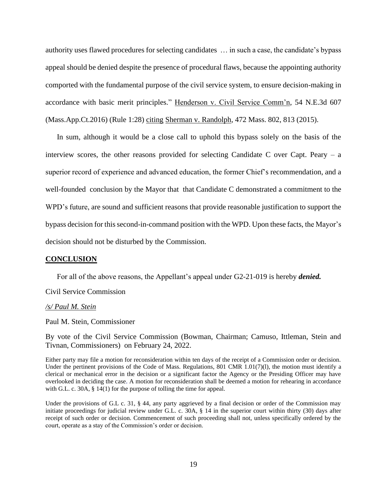authority uses flawed procedures for selecting candidates … in such a case, the candidate's bypass appeal should be denied despite the presence of procedural flaws, because the appointing authority comported with the fundamental purpose of the civil service system, to ensure decision-making in accordance with basic merit principles." Henderson v. Civil Service Comm'n, 54 N.E.3d 607 (Mass.App.Ct.2016) (Rule 1:28) citing Sherman v. Randolph, 472 Mass. 802, 813 (2015).

In sum, although it would be a close call to uphold this bypass solely on the basis of the interview scores, the other reasons provided for selecting Candidate C over Capt. Peary  $-$  a superior record of experience and advanced education, the former Chief's recommendation, and a well-founded conclusion by the Mayor that that Candidate C demonstrated a commitment to the WPD's future, are sound and sufficient reasons that provide reasonable justification to support the bypass decision for this second-in-command position with the WPD. Upon these facts, the Mayor's decision should not be disturbed by the Commission.

#### **CONCLUSION**

For all of the above reasons, the Appellant's appeal under G2-21-019 is hereby *denied.*

Civil Service Commission

#### */s/ Paul M. Stein*

Paul M. Stein, Commissioner

By vote of the Civil Service Commission (Bowman, Chairman; Camuso, Ittleman, Stein and Tivnan, Commissioners) on February 24, 2022.

Either party may file a motion for reconsideration within ten days of the receipt of a Commission order or decision. Under the pertinent provisions of the Code of Mass. Regulations, 801 CMR 1.01(7)(1), the motion must identify a clerical or mechanical error in the decision or a significant factor the Agency or the Presiding Officer may have overlooked in deciding the case. A motion for reconsideration shall be deemed a motion for rehearing in accordance with G.L. c. 30A, § 14(1) for the purpose of tolling the time for appeal.

Under the provisions of G.L c. 31, § 44, any party aggrieved by a final decision or order of the Commission may initiate proceedings for judicial review under G.L. c. 30A, § 14 in the superior court within thirty (30) days after receipt of such order or decision. Commencement of such proceeding shall not, unless specifically ordered by the court, operate as a stay of the Commission's order or decision.